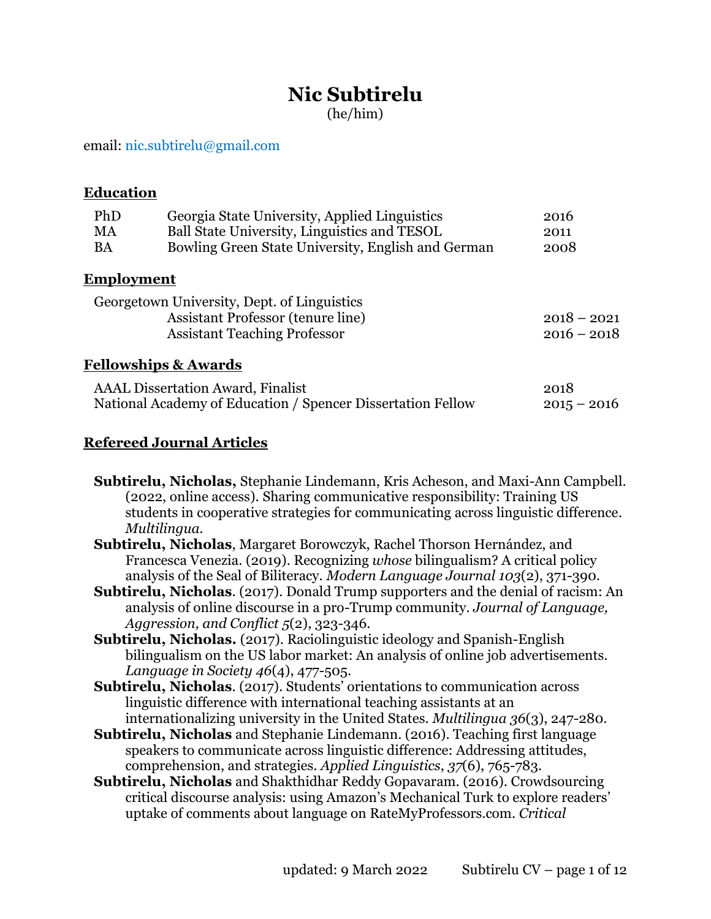# **Nic Subtirelu**

(he/him)

#### email: [nic.subtirelu@gmail.com](mailto:nic.subtirelu@gmail.com)

**Education**

| PhD<br>MA<br><b>BA</b> | Georgia State University, Applied Linguistics<br>Ball State University, Linguistics and TESOL<br>Bowling Green State University, English and German | 2016<br>2011<br>2008           |
|------------------------|-----------------------------------------------------------------------------------------------------------------------------------------------------|--------------------------------|
| <u>Employment</u>      |                                                                                                                                                     |                                |
|                        | Georgetown University, Dept. of Linguistics<br><b>Assistant Professor (tenure line)</b><br><b>Assistant Teaching Professor</b>                      | $2018 - 2021$<br>$2016 - 2018$ |
|                        | <b>Fellowships &amp; Awards</b>                                                                                                                     |                                |
|                        | <b>AAAL</b> Dissertation Award, Finalist<br>National Academy of Education / Spencer Dissertation Fellow                                             | 2018<br>$2015 - 2016$          |

#### **Refereed Journal Articles**

**Subtirelu, Nicholas,** Stephanie Lindemann, Kris Acheson, and Maxi-Ann Campbell. (2022, online access). Sharing communicative responsibility: Training US students in cooperative strategies for communicating across linguistic difference. *Multilingua.*

- **Subtirelu, Nicholas**, Margaret Borowczyk, Rachel Thorson Hernández, and Francesca Venezia. (2019). Recognizing *whose* bilingualism? A critical policy analysis of the Seal of Biliteracy. *Modern Language Journal 103*(2), 371-390.
- **Subtirelu, Nicholas**. (2017). Donald Trump supporters and the denial of racism: An analysis of online discourse in a pro-Trump community. *Journal of Language, Aggression, and Conflict 5*(2), 323-346.
- **Subtirelu, Nicholas.** (2017). Raciolinguistic ideology and Spanish-English bilingualism on the US labor market: An analysis of online job advertisements. *Language in Society 46*(4), 477-505.

**Subtirelu, Nicholas**. (2017). Students' orientations to communication across linguistic difference with international teaching assistants at an internationalizing university in the United States. *Multilingua 36*(3), 247-280.

- **Subtirelu, Nicholas** and Stephanie Lindemann. (2016). Teaching first language speakers to communicate across linguistic difference: Addressing attitudes, comprehension, and strategies. *Applied Linguistics*, *37*(6), 765-783.
- **Subtirelu, Nicholas** and Shakthidhar Reddy Gopavaram. (2016). Crowdsourcing critical discourse analysis: using Amazon's Mechanical Turk to explore readers' uptake of comments about language on RateMyProfessors.com. *Critical*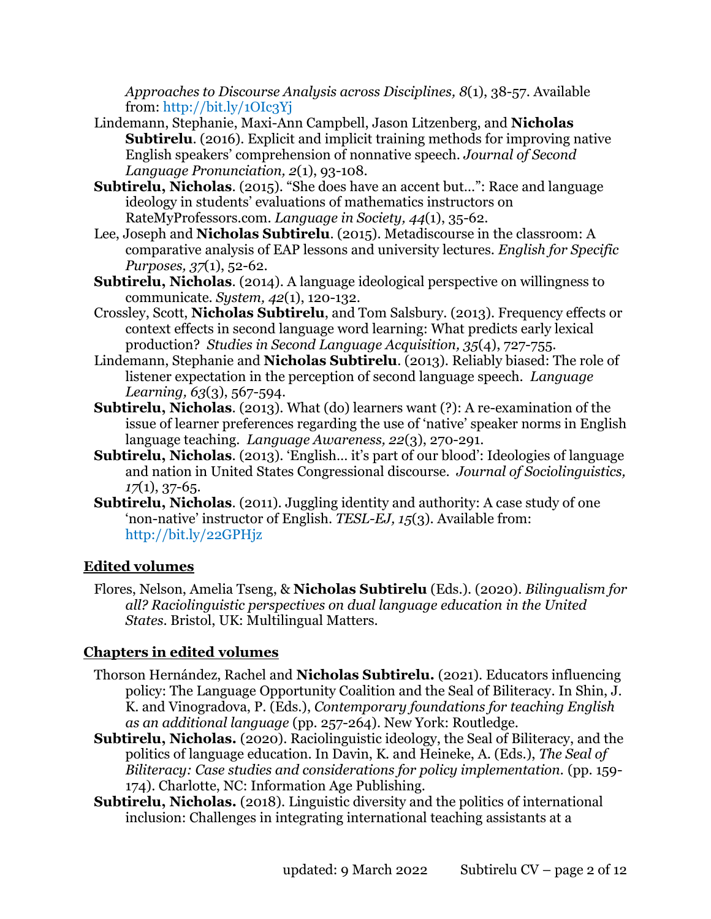*Approaches to Discourse Analysis across Disciplines, 8*(1), 38-57. Available from:<http://bit.ly/1OIc3Yj>

- Lindemann, Stephanie, Maxi-Ann Campbell, Jason Litzenberg, and **Nicholas Subtirelu.** (2016). Explicit and implicit training methods for improving native English speakers' comprehension of nonnative speech. *Journal of Second Language Pronunciation, 2*(1), 93-108.
- **Subtirelu, Nicholas**. (2015). "She does have an accent but...": Race and language ideology in students' evaluations of mathematics instructors on RateMyProfessors.com. *Language in Society, 44*(1), 35-62.
- Lee, Joseph and **Nicholas Subtirelu**. (2015). Metadiscourse in the classroom: A comparative analysis of EAP lessons and university lectures. *English for Specific Purposes, 37*(1), 52-62.
- **Subtirelu, Nicholas**. (2014). A language ideological perspective on willingness to communicate. *System, 42*(1), 120-132.
- Crossley, Scott, **Nicholas Subtirelu**, and Tom Salsbury. (2013). Frequency effects or context effects in second language word learning: What predicts early lexical production? *Studies in Second Language Acquisition, 35*(4), 727-755.
- Lindemann, Stephanie and **Nicholas Subtirelu**. (2013). Reliably biased: The role of listener expectation in the perception of second language speech. *Language Learning, 63*(3), 567-594.
- **Subtirelu, Nicholas**. (2013). What (do) learners want (?): A re-examination of the issue of learner preferences regarding the use of 'native' speaker norms in English language teaching. *Language Awareness, 22*(3), 270-291.
- **Subtirelu, Nicholas**. (2013). 'English… it's part of our blood': Ideologies of language and nation in United States Congressional discourse. *Journal of Sociolinguistics, 17*(1), 37-65.
- **Subtirelu, Nicholas.** (2011). Juggling identity and authority: A case study of one 'non-native' instructor of English. *TESL-EJ, 15*(3). Available from: <http://bit.ly/22GPHjz>

## **Edited volumes**

Flores, Nelson, Amelia Tseng, & **Nicholas Subtirelu** (Eds.). (2020). *Bilingualism for all? Raciolinguistic perspectives on dual language education in the United States*. Bristol, UK: Multilingual Matters.

## **Chapters in edited volumes**

- Thorson Hernández, Rachel and **Nicholas Subtirelu.** (2021). Educators influencing policy: The Language Opportunity Coalition and the Seal of Biliteracy. In Shin, J. K. and Vinogradova, P. (Eds.), *Contemporary foundations for teaching English as an additional language* (pp. 257-264). New York: Routledge.
- **Subtirelu, Nicholas.** (2020). Raciolinguistic ideology, the Seal of Biliteracy, and the politics of language education. In Davin, K. and Heineke, A. (Eds.), *The Seal of Biliteracy: Case studies and considerations for policy implementation.* (pp. 159- 174). Charlotte, NC: Information Age Publishing.
- **Subtirelu, Nicholas.** (2018). Linguistic diversity and the politics of international inclusion: Challenges in integrating international teaching assistants at a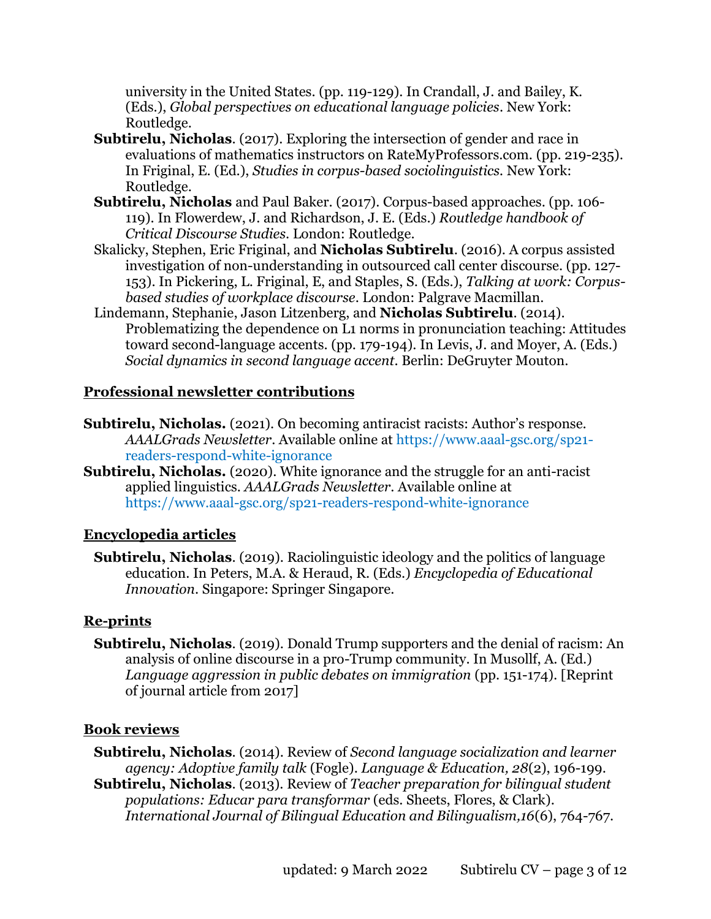university in the United States. (pp. 119-129). In Crandall, J. and Bailey, K. (Eds.), *Global perspectives on educational language policies*. New York: Routledge.

- **Subtirelu, Nicholas**. (2017). Exploring the intersection of gender and race in evaluations of mathematics instructors on RateMyProfessors.com. (pp. 219-235). In Friginal, E. (Ed.), *Studies in corpus-based sociolinguistics.* New York: Routledge.
- **Subtirelu, Nicholas** and Paul Baker. (2017). Corpus-based approaches. (pp. 106- 119). In Flowerdew, J. and Richardson, J. E. (Eds.) *Routledge handbook of Critical Discourse Studies*. London: Routledge.
- Skalicky, Stephen, Eric Friginal, and **Nicholas Subtirelu**. (2016). A corpus assisted investigation of non-understanding in outsourced call center discourse. (pp. 127- 153). In Pickering, L. Friginal, E, and Staples, S. (Eds.), *Talking at work: Corpusbased studies of workplace discourse*. London: Palgrave Macmillan.
- Lindemann, Stephanie, Jason Litzenberg, and **Nicholas Subtirelu**. (2014). Problematizing the dependence on L1 norms in pronunciation teaching: Attitudes toward second-language accents. (pp. 179-194). In Levis, J. and Moyer, A. (Eds.) *Social dynamics in second language accent*. Berlin: DeGruyter Mouton.

## **Professional newsletter contributions**

- **Subtirelu, Nicholas.** (2021). On becoming antiracist racists: Author's response. *AAALGrads Newsletter*. Available online at [https://www.aaal-gsc.org/sp21](https://www.aaal-gsc.org/sp21-readers-respond-white-ignorance) [readers-respond-white-ignorance](https://www.aaal-gsc.org/sp21-readers-respond-white-ignorance)
- **Subtirelu, Nicholas.** (2020). White ignorance and the struggle for an anti-racist applied linguistics. *AAALGrads Newsletter*. Available online at <https://www.aaal-gsc.org/sp21-readers-respond-white-ignorance>

## **Encyclopedia articles**

**Subtirelu, Nicholas**. (2019). Raciolinguistic ideology and the politics of language education. In Peters, M.A. & Heraud, R. (Eds.) *Encyclopedia of Educational Innovation*. Singapore: Springer Singapore.

## **Re-prints**

**Subtirelu, Nicholas**. (2019). Donald Trump supporters and the denial of racism: An analysis of online discourse in a pro-Trump community. In Musollf, A. (Ed.) *Language aggression in public debates on immigration* (pp. 151-174). [Reprint] of journal article from 2017]

#### **Book reviews**

**Subtirelu, Nicholas**. (2014). Review of *Second language socialization and learner agency: Adoptive family talk* (Fogle). *Language & Education, 28*(2), 196-199.

**Subtirelu, Nicholas**. (2013). Review of *Teacher preparation for bilingual student populations: Educar para transformar* (eds. Sheets, Flores, & Clark). *International Journal of Bilingual Education and Bilingualism,16*(6), 764-767.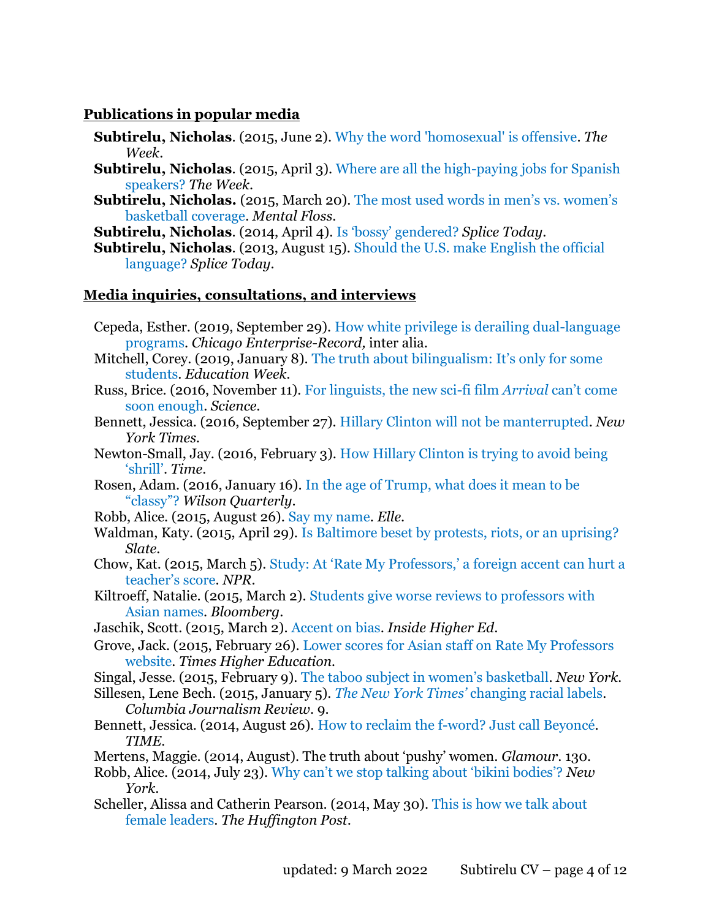#### **Publications in popular media**

- **Subtirelu, Nicholas**. (2015, June 2). [Why the word 'homosexual' is offensive.](http://theweek.com/articles/556341/why-word-homosexual-offensive) *The Week*.
- **Subtirelu, Nicholas**. (2015, April 3). [Where are all the high-paying jobs for Spanish](http://theweek.com/articles/546976/where-are-all-highpaying-jobs-spanish-speakers)  [speakers?](http://theweek.com/articles/546976/where-are-all-highpaying-jobs-spanish-speakers) *The Week*.
- **Subtirelu, Nicholas.** (2015, March 20). The most used words in men's vs. women's [basketball coverage.](http://mentalfloss.com/article/62334/most-used-words-mens-vs-womens-basketball-coverage) *Mental Floss*.
- **Subtirelu, Nicholas**. (2014, April 4). [Is 'bossy' gendered?](http://www.splicetoday.com/politics-and-media/is-bossy-gendered) *Splice Today*.
- **Subtirelu, Nicholas**. (2013, August 15). [Should the U.S. make English the official](http://www.splicetoday.com/politics-and-media/should-the-u-s-make-english-the-official-language)  [language?](http://www.splicetoday.com/politics-and-media/should-the-u-s-make-english-the-official-language) *Splice Today*.

## **Media inquiries, consultations, and interviews**

- Cepeda, Esther. (2019, September 29). [How white privilege is derailing dual-language](https://www.chicoer.com/2019/09/29/how-white-privilege-is-derailing-dual-language-programs/)  [programs.](https://www.chicoer.com/2019/09/29/how-white-privilege-is-derailing-dual-language-programs/) *Chicago Enterprise-Record,* inter alia.
- Mitchell, Corey. (2019, January 8). The truth [about bilingualism: It's only for some](https://www.edweek.org/ew/articles/2019/01/09/the-truth-about-bilingualism-its-only-for.html?cmp=soc-tw-shr)  [students.](https://www.edweek.org/ew/articles/2019/01/09/the-truth-about-bilingualism-its-only-for.html?cmp=soc-tw-shr) *Education Week.*
- Russ, Brice. (2016, November 11). [For linguists, the new sci-fi film](http://www.sciencemag.org/news/2016/11/linguists-new-sci-fi-film-arrival-cant-come-soon-enough) *Arrival* can't come [soon enough.](http://www.sciencemag.org/news/2016/11/linguists-new-sci-fi-film-arrival-cant-come-soon-enough) *Science.*
- Bennett, Jessica. (2016, September 27). [Hillary Clinton will not be manterrupted.](http://www.nytimes.com/2016/09/28/opinion/campaign-stops/hillary-clinton-will-not-be-manterrupted.html?_r=0) *New York Times.*
- Newton-Small, Jay. (2016, February 3). [How Hillary Clinton is trying to avoid being](http://time.com/4206660/hillary-clinton-sexism-shrill-yelling/)  ['shrill'](http://time.com/4206660/hillary-clinton-sexism-shrill-yelling/). *Time*.
- Rosen, Adam. (2016, January 16). [In the age of Trump, what does it mean to be](http://wilsonquarterly.com/stories/in-the-age-of-trump-what-does-it-mean-to-be-classy/)  ["classy"?](http://wilsonquarterly.com/stories/in-the-age-of-trump-what-does-it-mean-to-be-classy/) *Wilson Quarterly*.
- Robb, Alice. (2015, August 26). [Say my name.](http://www.elle.com/culture/news/a30042/say-my-name/) *Elle*.
- Waldman, Katy. (2015, April 29). [Is Baltimore beset by protests, riots, or an uprising?](http://www.slate.com/blogs/lexicon_valley/2015/04/29/protest_versus_riot_versus_uprising_the_language_of_the_baltimore_freddie.html) *Slate*.
- Chow, Kat. (2015, March 5). [Study: At 'Rate My Professors,' a foreign accent can hurt a](http://www.npr.org/blogs/codeswitch/2015/03/05/390686619/study-at-rate-my-professor-a-foreign-accent-can-hurt-a-teachers-score)  [teacher's score](http://www.npr.org/blogs/codeswitch/2015/03/05/390686619/study-at-rate-my-professor-a-foreign-accent-can-hurt-a-teachers-score). *NPR*.
- Kiltroeff, Natalie. (2015, March 2). Students give worse reviews to professors with [Asian names.](http://www.bloomberg.com/news/articles/2015-03-02/students-give-worse-reviews-to-professors-with-asian-names) *Bloomberg*.
- Jaschik, Scott. (2015, March 2). [Accent on bias.](https://www.insidehighered.com/news/2015/03/02/study-finds-instructors-asian-last-names-receive-lower-scores-rate-my-professors) *Inside Higher Ed*.
- Grove, Jack. (2015, February 26). [Lower scores for Asian staff on Rate My Professors](http://www.timeshighereducation.co.uk/news/lower-scores-for-asian-staff-on-rate-my-professors-website/2018747.article)  [website.](http://www.timeshighereducation.co.uk/news/lower-scores-for-asian-staff-on-rate-my-professors-website/2018747.article) *Times Higher Education.*
- Singal, Jesse. (2015, February 9). [The taboo subject in women's basketball](http://nymag.com/scienceofus/2015/02/taboo-subject-in-womens-basketball.html). *New York.*
- Sillesen, Lene Bech. (2015, January 5). *[The New York Times'](http://www.cjr.org/currents/new_york_times_race.php)* changing racial labels. *Columbia Journalism Review*. 9.
- Bennett, Jessica. (2014, August 26). [How to reclaim the f-word? Just call Beyoncé.](http://time.com/3181644/beyonce-reclaim-feminism-pop-star/) *TIME*.
- Mertens, Maggie. (2014, August). The truth about 'pushy' women. *Glamour*. 130.
- Robb, Alice. (2014, July 23). [Why can't we stop talking about 'bikini bodies'?](http://nymag.com/thecut/2014/07/why-cant-we-stop-talking-about-bikini-bodies.html) *New York*.
- Scheller, Alissa and Catherin Pearson. (2014, May 30). [This is how we talk about](http://www.huffingtonpost.com/2014/05/30/pushy-women-how-we-talk-about-female-leaders_n_5411131.html)  [female leaders.](http://www.huffingtonpost.com/2014/05/30/pushy-women-how-we-talk-about-female-leaders_n_5411131.html) *The Huffington Post*.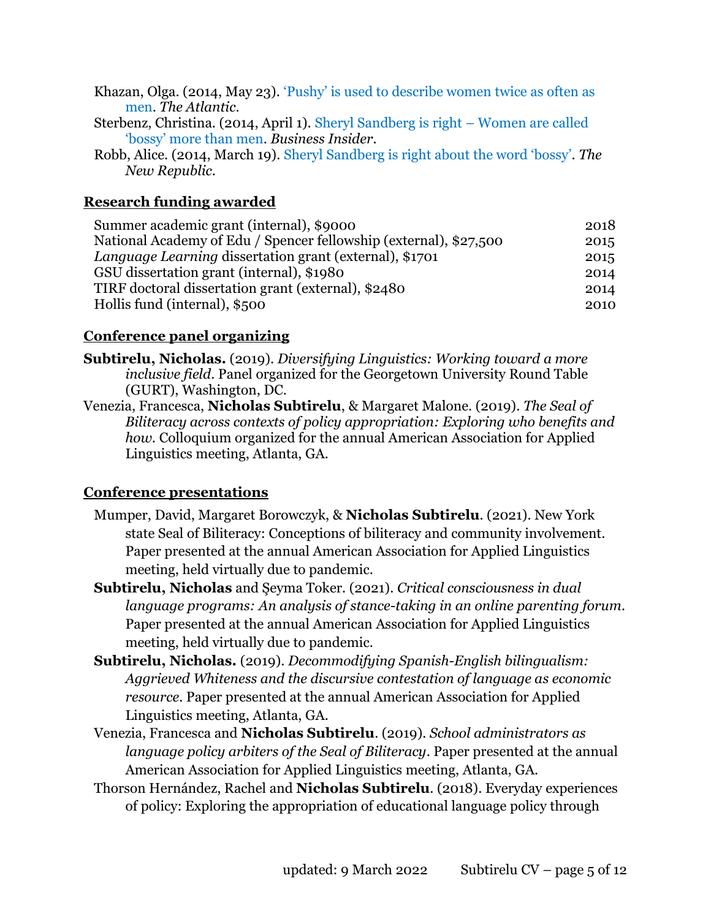- Khazan, Olga. (2014, May 23). ['Pushy' is used to describe women twice as often as](http://www.theatlantic.com/business/archive/2014/05/pushy-is-used-to-describe-women-twice-as-often-as-men/371291/)  [men.](http://www.theatlantic.com/business/archive/2014/05/pushy-is-used-to-describe-women-twice-as-often-as-men/371291/) *The Atlantic*.
- Sterbenz, Christina. (2014, April 1). [Sheryl Sandberg is right](http://www.businessinsider.com/sheryl-sandberg-women-ban-bossy-2014-4)  Women are called ['bossy' more than men](http://www.businessinsider.com/sheryl-sandberg-women-ban-bossy-2014-4). *Business Insider*.
- Robb, Alice. (2014, March 19). [Sheryl Sandberg is righ](http://www.newrepublic.com/article/117076/sheryl-sandbergs-ban-bossy-campaign-right-about-one-thing)t about the word 'bossy'. *The New Republic*.

## **Research funding awarded**

| Summer academic grant (internal), \$9000                          | 2018 |
|-------------------------------------------------------------------|------|
| National Academy of Edu / Spencer fellowship (external), \$27,500 | 2015 |
| Language Learning dissertation grant (external), \$1701           | 2015 |
| GSU dissertation grant (internal), \$1980                         | 2014 |
| TIRF doctoral dissertation grant (external), \$2480               | 2014 |
| Hollis fund (internal), \$500                                     | 2010 |

## **Conference panel organizing**

- **Subtirelu, Nicholas.** (2019). *Diversifying Linguistics: Working toward a more inclusive field*. Panel organized for the Georgetown University Round Table (GURT), Washington, DC.
- Venezia, Francesca, **Nicholas Subtirelu**, & Margaret Malone. (2019). *The Seal of Biliteracy across contexts of policy appropriation: Exploring who benefits and how.* Colloquium organized for the annual American Association for Applied Linguistics meeting, Atlanta, GA.

## **Conference presentations**

- Mumper, David, Margaret Borowczyk, & **Nicholas Subtirelu**. (2021). New York state Seal of Biliteracy: Conceptions of biliteracy and community involvement. Paper presented at the annual American Association for Applied Linguistics meeting, held virtually due to pandemic.
- **Subtirelu, Nicholas** and Şeyma Toker. (2021). *Critical consciousness in dual language programs: An analysis of stance-taking in an online parenting forum.*  Paper presented at the annual American Association for Applied Linguistics meeting, held virtually due to pandemic.
- **Subtirelu, Nicholas.** (2019). *Decommodifying Spanish-English bilingualism: Aggrieved Whiteness and the discursive contestation of language as economic resource*. Paper presented at the annual American Association for Applied Linguistics meeting, Atlanta, GA.
- Venezia, Francesca and **Nicholas Subtirelu**. (2019). *School administrators as language policy arbiters of the Seal of Biliteracy*. Paper presented at the annual American Association for Applied Linguistics meeting, Atlanta, GA.
- Thorson Hernández, Rachel and **Nicholas Subtirelu**. (2018). Everyday experiences of policy: Exploring the appropriation of educational language policy through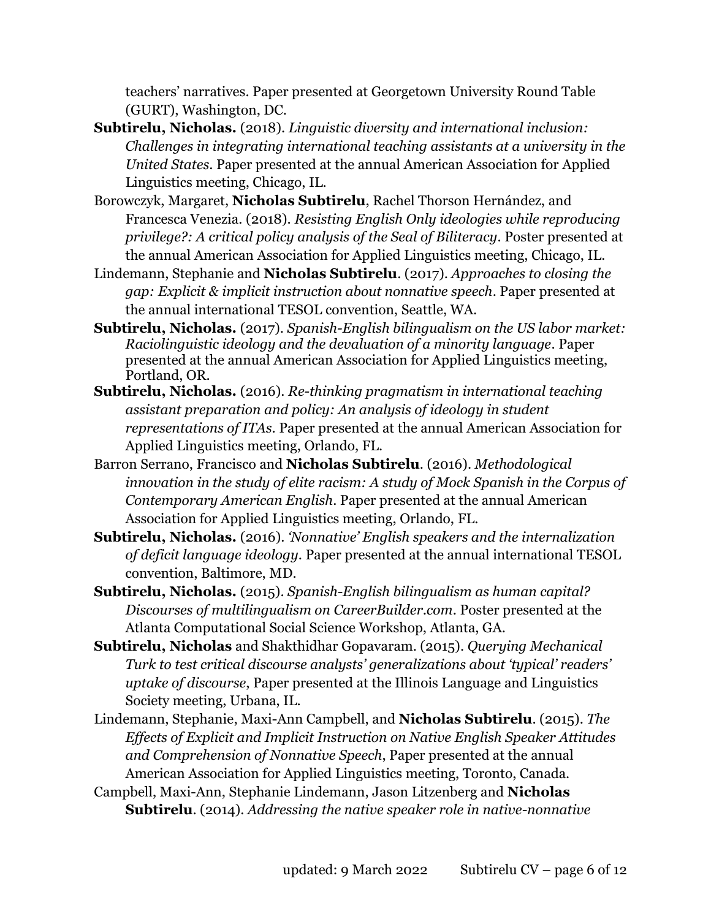teachers' narratives. Paper presented at Georgetown University Round Table (GURT), Washington, DC.

- **Subtirelu, Nicholas.** (2018). *Linguistic diversity and international inclusion: Challenges in integrating international teaching assistants at a university in the United States*. Paper presented at the annual American Association for Applied Linguistics meeting, Chicago, IL.
- Borowczyk, Margaret, **Nicholas Subtirelu**, Rachel Thorson Hernández, and Francesca Venezia. (2018). *Resisting English Only ideologies while reproducing privilege?: A critical policy analysis of the Seal of Biliteracy*. Poster presented at the annual American Association for Applied Linguistics meeting, Chicago, IL.
- Lindemann, Stephanie and **Nicholas Subtirelu**. (2017). *Approaches to closing the gap: Explicit & implicit instruction about nonnative speech*. Paper presented at the annual international TESOL convention, Seattle, WA.
- **Subtirelu, Nicholas.** (2017). *Spanish-English bilingualism on the US labor market: Raciolinguistic ideology and the devaluation of a minority language*. Paper presented at the annual American Association for Applied Linguistics meeting, Portland, OR.
- **Subtirelu, Nicholas.** (2016). *Re-thinking pragmatism in international teaching assistant preparation and policy: An analysis of ideology in student representations of ITAs*. Paper presented at the annual American Association for Applied Linguistics meeting, Orlando, FL.
- Barron Serrano, Francisco and **Nicholas Subtirelu**. (2016). *Methodological innovation in the study of elite racism: A study of Mock Spanish in the Corpus of Contemporary American English*. Paper presented at the annual American Association for Applied Linguistics meeting, Orlando, FL.
- **Subtirelu, Nicholas.** (2016). *'Nonnative' English speakers and the internalization of deficit language ideology*. Paper presented at the annual international TESOL convention, Baltimore, MD.
- **Subtirelu, Nicholas.** (2015). *Spanish-English bilingualism as human capital? Discourses of multilingualism on CareerBuilder.com*. Poster presented at the Atlanta Computational Social Science Workshop, Atlanta, GA.
- **Subtirelu, Nicholas** and Shakthidhar Gopavaram. (2015). *Querying Mechanical Turk to test critical discourse analysts' generalizations about 'typical' readers' uptake of discourse*, Paper presented at the Illinois Language and Linguistics Society meeting, Urbana, IL.
- Lindemann, Stephanie, Maxi-Ann Campbell, and **Nicholas Subtirelu**. (2015). *The Effects of Explicit and Implicit Instruction on Native English Speaker Attitudes and Comprehension of Nonnative Speech*, Paper presented at the annual American Association for Applied Linguistics meeting, Toronto, Canada.
- Campbell, Maxi-Ann, Stephanie Lindemann, Jason Litzenberg and **Nicholas Subtirelu**. (2014). *Addressing the native speaker role in native-nonnative*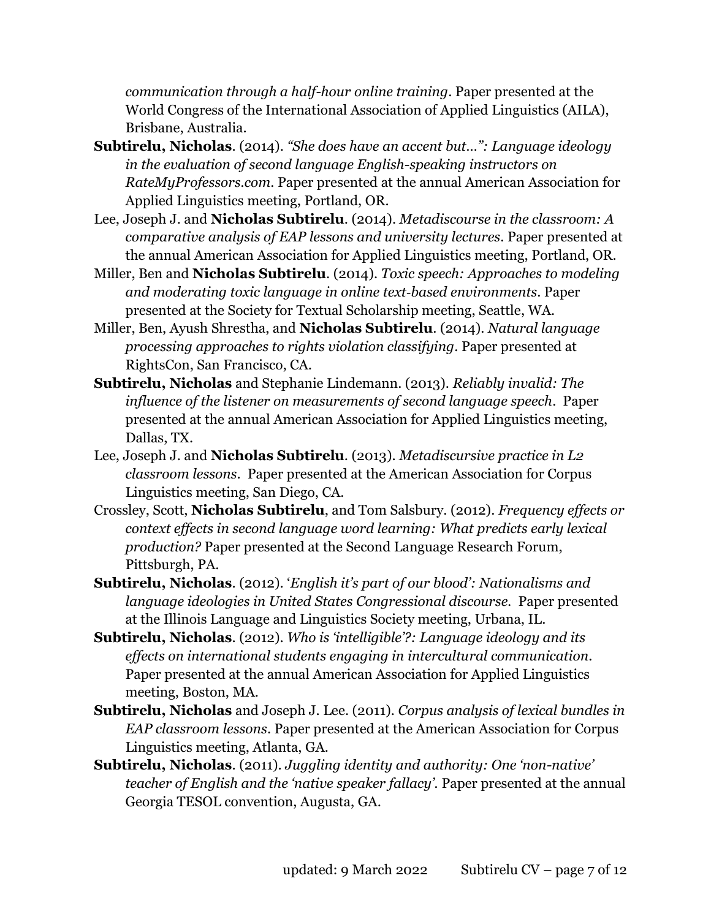*communication through a half-hour online training*. Paper presented at the World Congress of the International Association of Applied Linguistics (AILA), Brisbane, Australia.

- **Subtirelu, Nicholas**. (2014). *"She does have an accent but…": Language ideology in the evaluation of second language English-speaking instructors on RateMyProfessors.com*. Paper presented at the annual American Association for Applied Linguistics meeting, Portland, OR.
- Lee, Joseph J. and **Nicholas Subtirelu**. (2014). *Metadiscourse in the classroom: A comparative analysis of EAP lessons and university lectures*. Paper presented at the annual American Association for Applied Linguistics meeting, Portland, OR.
- Miller, Ben and **Nicholas Subtirelu**. (2014). *Toxic speech: Approaches to modeling and moderating toxic language in online text‐based environments*. Paper presented at the Society for Textual Scholarship meeting, Seattle, WA.
- Miller, Ben, Ayush Shrestha, and **Nicholas Subtirelu**. (2014). *Natural language processing approaches to rights violation classifying*. Paper presented at RightsCon, San Francisco, CA.
- **Subtirelu, Nicholas** and Stephanie Lindemann. (2013). *Reliably invalid: The influence of the listener on measurements of second language speech*. Paper presented at the annual American Association for Applied Linguistics meeting, Dallas, TX.
- Lee, Joseph J. and **Nicholas Subtirelu**. (2013). *Metadiscursive practice in L2 classroom lessons*. Paper presented at the American Association for Corpus Linguistics meeting, San Diego, CA.
- Crossley, Scott, **Nicholas Subtirelu**, and Tom Salsbury. (2012). *Frequency effects or context effects in second language word learning: What predicts early lexical production?* Paper presented at the Second Language Research Forum, Pittsburgh, PA.
- **Subtirelu, Nicholas**. (2012). '*English it's part of our blood': Nationalisms and language ideologies in United States Congressional discourse.* Paper presented at the Illinois Language and Linguistics Society meeting, Urbana, IL.
- **Subtirelu, Nicholas**. (2012). *Who is 'intelligible'?: Language ideology and its effects on international students engaging in intercultural communication*. Paper presented at the annual American Association for Applied Linguistics meeting, Boston, MA.
- **Subtirelu, Nicholas** and Joseph J. Lee. (2011). *Corpus analysis of lexical bundles in EAP classroom lessons*. Paper presented at the American Association for Corpus Linguistics meeting, Atlanta, GA.
- **Subtirelu, Nicholas**. (2011). *Juggling identity and authority: One 'non-native' teacher of English and the 'native speaker fallacy'.* Paper presented at the annual Georgia TESOL convention, Augusta, GA.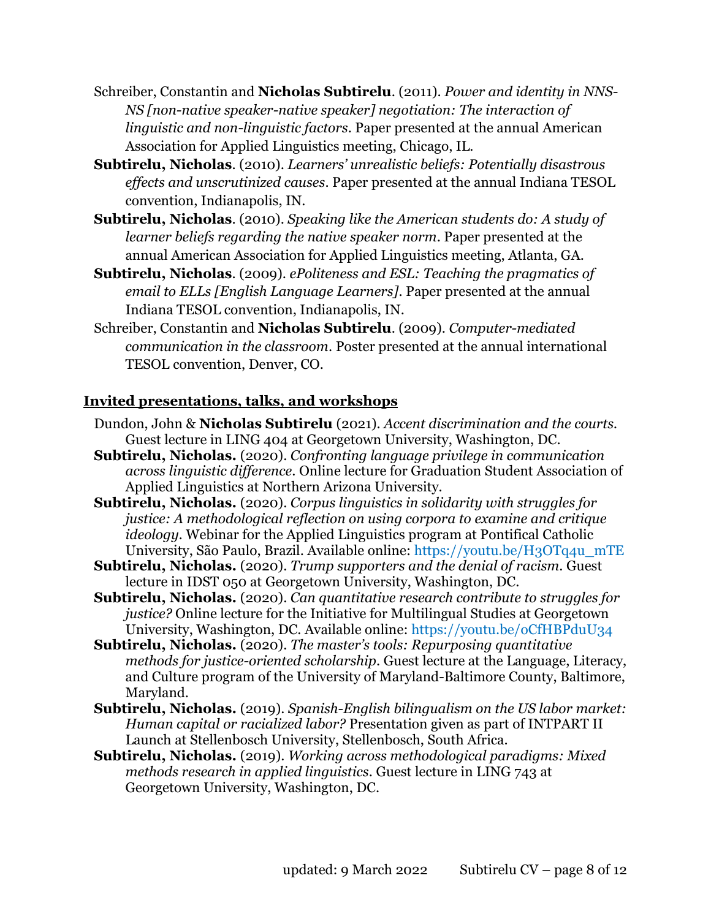- Schreiber, Constantin and **Nicholas Subtirelu**. (2011). *Power and identity in NNS-NS [non-native speaker-native speaker] negotiation: The interaction of linguistic and non-linguistic factors*. Paper presented at the annual American Association for Applied Linguistics meeting, Chicago, IL.
- **Subtirelu, Nicholas**. (2010). *Learners' unrealistic beliefs: Potentially disastrous effects and unscrutinized causes*. Paper presented at the annual Indiana TESOL convention, Indianapolis, IN.
- **Subtirelu, Nicholas**. (2010). *Speaking like the American students do: A study of learner beliefs regarding the native speaker norm*. Paper presented at the annual American Association for Applied Linguistics meeting, Atlanta, GA.
- **Subtirelu, Nicholas**. (2009). *ePoliteness and ESL: Teaching the pragmatics of email to ELLs [English Language Learners]*. Paper presented at the annual Indiana TESOL convention, Indianapolis, IN.
- Schreiber, Constantin and **Nicholas Subtirelu**. (2009). *Computer-mediated communication in the classroom*. Poster presented at the annual international TESOL convention, Denver, CO.

## **Invited presentations, talks, and workshops**

- Dundon, John & **Nicholas Subtirelu** (2021). *Accent discrimination and the courts.*  Guest lecture in LING 404 at Georgetown University, Washington, DC.
- **Subtirelu, Nicholas.** (2020). *Confronting language privilege in communication across linguistic difference*. Online lecture for Graduation Student Association of Applied Linguistics at Northern Arizona University.
- **Subtirelu, Nicholas.** (2020). *Corpus linguistics in solidarity with struggles for justice: A methodological reflection on using corpora to examine and critique ideology.* Webinar for the Applied Linguistics program at Pontifical Catholic University, São Paulo, Brazil. Available online: [https://youtu.be/H3OTq4u\\_mTE](https://youtu.be/H3OTq4u_mTE)
- **Subtirelu, Nicholas.** (2020). *Trump supporters and the denial of racism*. Guest lecture in IDST 050 at Georgetown University, Washington, DC.
- **Subtirelu, Nicholas.** (2020). *Can quantitative research contribute to struggles for justice?* Online lecture for the Initiative for Multilingual Studies at Georgetown University, Washington, DC. Available online:<https://youtu.be/oCfHBPduU34>
- **Subtirelu, Nicholas.** (2020). *The master's tools: Repurposing quantitative methods for justice-oriented scholarship*. Guest lecture at the Language, Literacy, and Culture program of the University of Maryland-Baltimore County, Baltimore, Maryland.
- **Subtirelu, Nicholas.** (2019). *Spanish-English bilingualism on the US labor market: Human capital or racialized labor?* Presentation given as part of INTPART II Launch at Stellenbosch University, Stellenbosch, South Africa.
- **Subtirelu, Nicholas.** (2019). *Working across methodological paradigms: Mixed methods research in applied linguistics*. Guest lecture in LING 743 at Georgetown University, Washington, DC.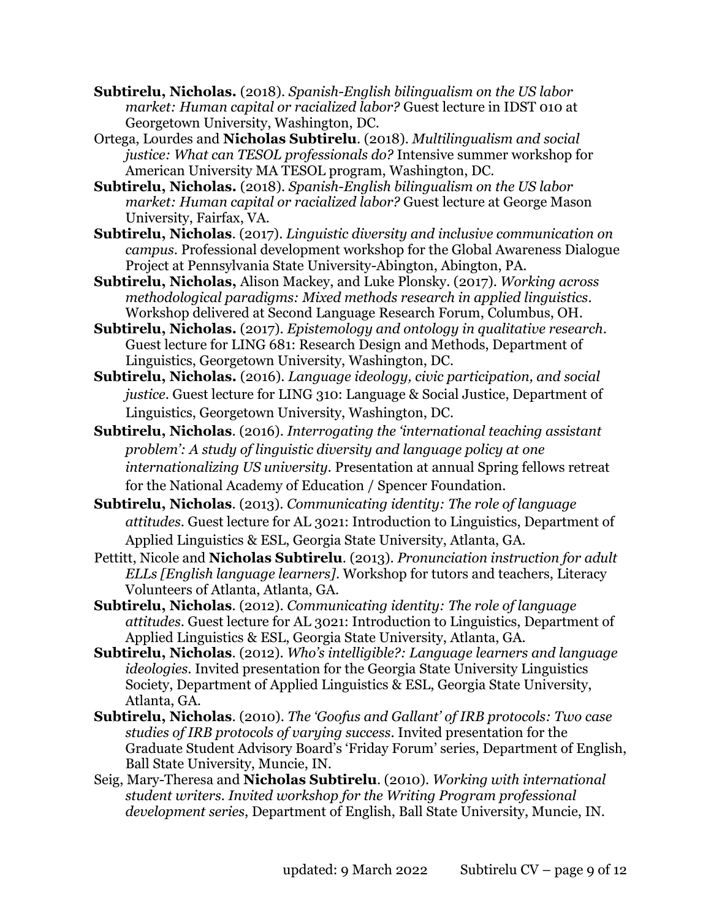- **Subtirelu, Nicholas.** (2018). *Spanish-English bilingualism on the US labor market: Human capital or racialized labor?* Guest lecture in IDST 010 at Georgetown University, Washington, DC.
- Ortega, Lourdes and **Nicholas Subtirelu**. (2018). *Multilingualism and social justice: What can TESOL professionals do?* Intensive summer workshop for American University MA TESOL program, Washington, DC.
- **Subtirelu, Nicholas.** (2018). *Spanish-English bilingualism on the US labor market: Human capital or racialized labor?* Guest lecture at George Mason University, Fairfax, VA.
- **Subtirelu, Nicholas**. (2017). *Linguistic diversity and inclusive communication on campus*. Professional development workshop for the Global Awareness Dialogue Project at Pennsylvania State University-Abington, Abington, PA.
- **Subtirelu, Nicholas,** Alison Mackey, and Luke Plonsky. (2017). *Working across methodological paradigms: Mixed methods research in applied linguistics*. Workshop delivered at Second Language Research Forum, Columbus, OH.
- **Subtirelu, Nicholas.** (2017). *Epistemology and ontology in qualitative research*. Guest lecture for LING 681: Research Design and Methods, Department of Linguistics, Georgetown University, Washington, DC.
- **Subtirelu, Nicholas.** (2016). *Language ideology, civic participation, and social justice*. Guest lecture for LING 310: Language & Social Justice, Department of Linguistics, Georgetown University, Washington, DC.
- **Subtirelu, Nicholas**. (2016). *Interrogating the 'international teaching assistant problem': A study of linguistic diversity and language policy at one internationalizing US university.* Presentation at annual Spring fellows retreat for the National Academy of Education / Spencer Foundation.
- **Subtirelu, Nicholas**. (2013). *Communicating identity: The role of language attitudes*. Guest lecture for AL 3021: Introduction to Linguistics, Department of Applied Linguistics & ESL, Georgia State University, Atlanta, GA.
- Pettitt, Nicole and **Nicholas Subtirelu**. (2013). *Pronunciation instruction for adult ELLs [English language learners]*. Workshop for tutors and teachers, Literacy Volunteers of Atlanta, Atlanta, GA.
- **Subtirelu, Nicholas**. (2012). *Communicating identity: The role of language attitudes*. Guest lecture for AL 3021: Introduction to Linguistics, Department of Applied Linguistics & ESL, Georgia State University, Atlanta, GA.
- **Subtirelu, Nicholas**. (2012). *Who's intelligible?: Language learners and language ideologies*. Invited presentation for the Georgia State University Linguistics Society, Department of Applied Linguistics & ESL, Georgia State University, Atlanta, GA.
- **Subtirelu, Nicholas**. (2010). *The 'Goofus and Gallant' of IRB protocols: Two case studies of IRB protocols of varying success*. Invited presentation for the Graduate Student Advisory Board's 'Friday Forum' series, Department of English, Ball State University, Muncie, IN.
- Seig, Mary-Theresa and **Nicholas Subtirelu**. (2010). *Working with international student writers. Invited workshop for the Writing Program professional development series*, Department of English, Ball State University, Muncie, IN.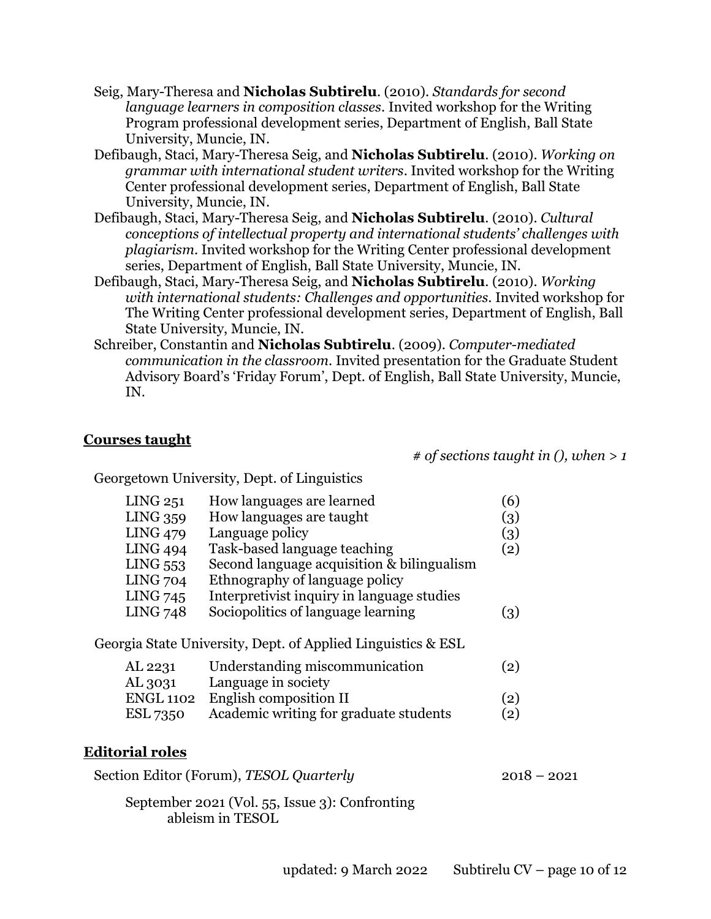- Seig, Mary-Theresa and **Nicholas Subtirelu**. (2010). *Standards for second language learners in composition classes*. Invited workshop for the Writing Program professional development series, Department of English, Ball State University, Muncie, IN.
- Defibaugh, Staci, Mary-Theresa Seig, and **Nicholas Subtirelu**. (2010). *Working on grammar with international student writers*. Invited workshop for the Writing Center professional development series, Department of English, Ball State University, Muncie, IN.
- Defibaugh, Staci, Mary-Theresa Seig, and **Nicholas Subtirelu**. (2010). *Cultural conceptions of intellectual property and international students' challenges with plagiarism*. Invited workshop for the Writing Center professional development series, Department of English, Ball State University, Muncie, IN.
- Defibaugh, Staci, Mary-Theresa Seig, and **Nicholas Subtirelu**. (2010). *Working with international students: Challenges and opportunities*. Invited workshop for The Writing Center professional development series, Department of English, Ball State University, Muncie, IN.
- Schreiber, Constantin and **Nicholas Subtirelu**. (2009). *Computer-mediated communication in the classroom*. Invited presentation for the Graduate Student Advisory Board's 'Friday Forum', Dept. of English, Ball State University, Muncie, IN.

#### **Courses taught**

*# of sections taught in (), when > 1*

Georgetown University, Dept. of Linguistics

| LING 251         | How languages are learned                                    | (6)               |
|------------------|--------------------------------------------------------------|-------------------|
| <b>LING 359</b>  | How languages are taught                                     | (3)               |
| <b>LING 479</b>  | Language policy                                              | (3)               |
| <b>LING 494</b>  | Task-based language teaching                                 | (2)               |
| LING 553         | Second language acquisition & bilingualism                   |                   |
| <b>LING 704</b>  | Ethnography of language policy                               |                   |
| <b>LING 745</b>  | Interpretivist inquiry in language studies                   |                   |
| <b>LING 748</b>  | Sociopolitics of language learning                           | (3)               |
|                  | Georgia State University, Dept. of Applied Linguistics & ESL |                   |
| AL 2231          | Understanding miscommunication                               | $\left( 2\right)$ |
| AL 3031          | Language in society                                          |                   |
| <b>ENGL 1102</b> | English composition II                                       | (2)               |
| <b>ESL 7350</b>  | Academic writing for graduate students                       | $\left( 2\right)$ |
|                  |                                                              |                   |

## **Editorial roles**

Section Editor (Forum), *TESOL Quarterly* 2018 – 2021

September 2021 (Vol. 55, Issue 3): Confronting ableism in TESOL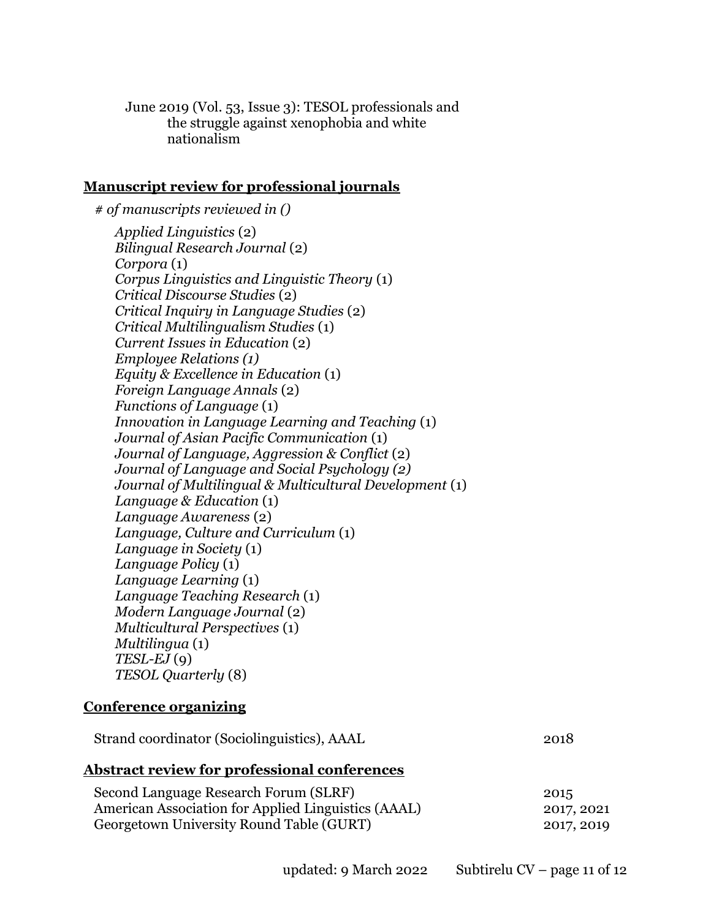June 2019 (Vol. 53, Issue 3): TESOL professionals and the struggle against xenophobia and white nationalism

#### **Manuscript review for professional journals**

*# of manuscripts reviewed in () Applied Linguistics* (2) *Bilingual Research Journal* (2) *Corpora* (1) *Corpus Linguistics and Linguistic Theory* (1) *Critical Discourse Studies* (2) *Critical Inquiry in Language Studies* (2) *Critical Multilingualism Studies* (1) *Current Issues in Education* (2) *Employee Relations (1) Equity & Excellence in Education* (1) *Foreign Language Annals* (2) *Functions of Language* (1) *Innovation in Language Learning and Teaching* (1) *Journal of Asian Pacific Communication* (1) *Journal of Language, Aggression & Conflict* (2) *Journal of Language and Social Psychology (2) Journal of Multilingual & Multicultural Development* (1) *Language & Education* (1) *Language Awareness* (2) *Language, Culture and Curriculum* (1) *Language in Society* (1) *Language Policy* (1) *Language Learning* (1) *Language Teaching Research* (1) *Modern Language Journal* (2) *Multicultural Perspectives* (1) *Multilingua* (1) *TESL-EJ* (9) *TESOL Quarterly* (8)

#### **Conference organizing**

Strand coordinator (Sociolinguistics), AAAL 2018

#### **Abstract review for professional conferences**

| Second Language Research Forum (SLRF)               | 2015       |
|-----------------------------------------------------|------------|
| American Association for Applied Linguistics (AAAL) | 2017, 2021 |
| Georgetown University Round Table (GURT)            | 2017, 2019 |